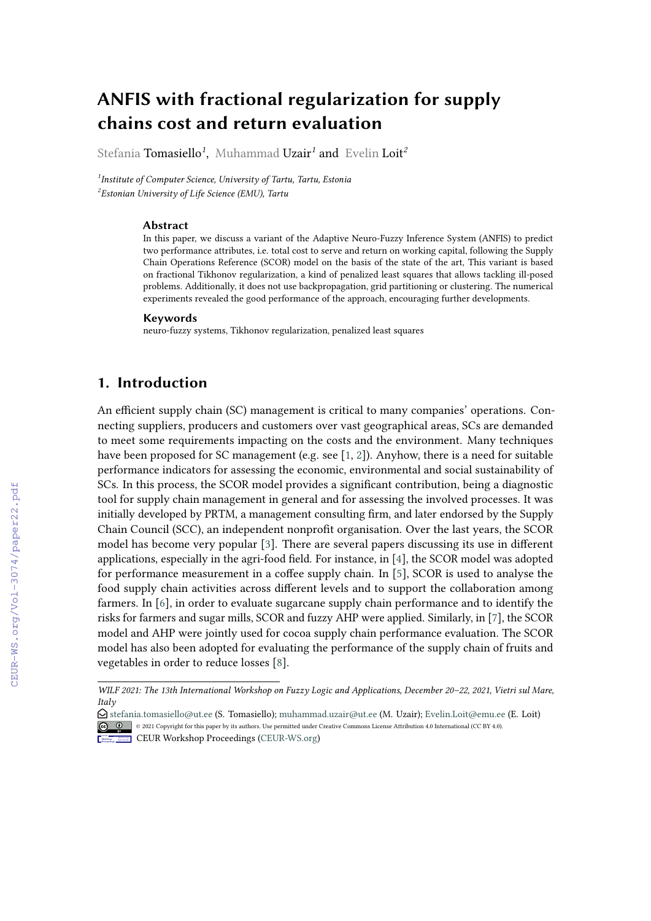# **ANFIS with fractional regularization for supply chains cost and return evaluation**

Stefania Tomasiello*<sup>1</sup>* , Muhammad Uzair*<sup>1</sup>* and Evelin Loit*<sup>2</sup>*

*1 Institute of Computer Science, University of Tartu, Tartu, Estonia 2 Estonian University of Life Science (EMU), Tartu*

#### **Abstract**

In this paper, we discuss a variant of the Adaptive Neuro-Fuzzy Inference System (ANFIS) to predict two performance attributes, i.e. total cost to serve and return on working capital, following the Supply Chain Operations Reference (SCOR) model on the basis of the state of the art, This variant is based on fractional Tikhonov regularization, a kind of penalized least squares that allows tackling ill-posed problems. Additionally, it does not use backpropagation, grid partitioning or clustering. The numerical experiments revealed the good performance of the approach, encouraging further developments.

#### **Keywords**

neuro-fuzzy systems, Tikhonov regularization, penalized least squares

### **1. Introduction**

An efficient supply chain (SC) management is critical to many companies' operations. Connecting suppliers, producers and customers over vast geographical areas, SCs are demanded to meet some requirements impacting on the costs and the environment. Many techniques have been proposed for SC management (e.g. see [\[1,](#page--1-0) [2\]](#page--1-1)). Anyhow, there is a need for suitable performance indicators for assessing the economic, environmental and social sustainability of SCs. In this process, the SCOR model provides a significant contribution, being a diagnostic tool for supply chain management in general and for assessing the involved processes. It was initially developed by PRTM, a management consulting firm, and later endorsed by the Supply Chain Council (SCC), an independent nonprofit organisation. Over the last years, the SCOR model has become very popular [\[3\]](#page--1-2). There are several papers discussing its use in different applications, especially in the agri-food field. For instance, in [\[4\]](#page--1-3), the SCOR model was adopted for performance measurement in a coffee supply chain. In [\[5\]](#page--1-4), SCOR is used to analyse the food supply chain activities across different levels and to support the collaboration among farmers. In [\[6\]](#page--1-5), in order to evaluate sugarcane supply chain performance and to identify the risks for farmers and sugar mills, SCOR and fuzzy AHP were applied. Similarly, in [\[7\]](#page--1-6), the SCOR model and AHP were jointly used for cocoa supply chain performance evaluation. The SCOR model has also been adopted for evaluating the performance of the supply chain of fruits and vegetables in order to reduce losses [\[8\]](#page--1-7).

*WILF 2021: The 13th International Workshop on Fuzzy Logic and Applications, December 20–22, 2021, Vietri sul Mare, Italy*

 $\bigcirc$  [stefania.tomasiello@ut.ee](mailto:stefania.tomasiello@ut.ee) (S. Tomasiello); [muhammad.uzair@ut.ee](mailto:muhammad.uzair@ut.ee) (M. Uzair); [Evelin.Loit@emu.ee](mailto:Evelin.Loit@emu.ee) (E. Loit) © 2021 Copyright for this paper by its authors. Use permitted under Creative Commons License Attribution 4.0 International (CC BY 4.0).

**CEUR Workshop [Proceedings](http://ceur-ws.org) [\(CEUR-WS.org\)](http://ceur-ws.org)**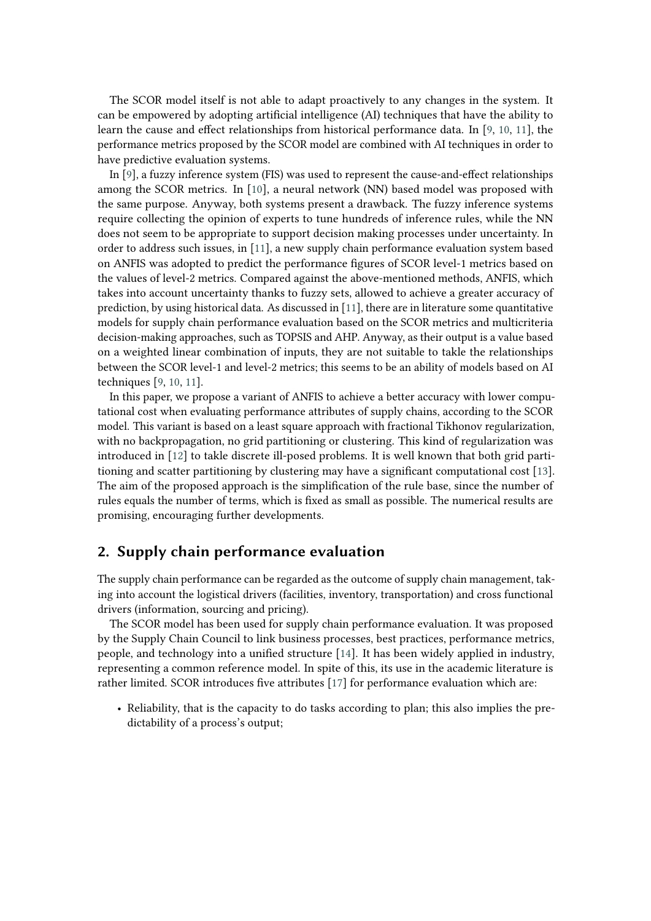The SCOR model itself is not able to adapt proactively to any changes in the system. It can be empowered by adopting artificial intelligence (AI) techniques that have the ability to learn the cause and effect relationships from historical performance data. In [\[9,](#page-8-0) [10,](#page-8-1) [11\]](#page-8-2), the performance metrics proposed by the SCOR model are combined with AI techniques in order to have predictive evaluation systems.

In [\[9\]](#page-8-0), a fuzzy inference system (FIS) was used to represent the cause-and-effect relationships among the SCOR metrics. In [\[10\]](#page-8-1), a neural network (NN) based model was proposed with the same purpose. Anyway, both systems present a drawback. The fuzzy inference systems require collecting the opinion of experts to tune hundreds of inference rules, while the NN does not seem to be appropriate to support decision making processes under uncertainty. In order to address such issues, in [\[11\]](#page-8-2), a new supply chain performance evaluation system based on ANFIS was adopted to predict the performance figures of SCOR level-1 metrics based on the values of level-2 metrics. Compared against the above-mentioned methods, ANFIS, which takes into account uncertainty thanks to fuzzy sets, allowed to achieve a greater accuracy of prediction, by using historical data. As discussed in [\[11\]](#page-8-2), there are in literature some quantitative models for supply chain performance evaluation based on the SCOR metrics and multicriteria decision-making approaches, such as TOPSIS and AHP. Anyway, as their output is a value based on a weighted linear combination of inputs, they are not suitable to takle the relationships between the SCOR level-1 and level-2 metrics; this seems to be an ability of models based on AI techniques [\[9,](#page-8-0) [10,](#page-8-1) [11\]](#page-8-2).

In this paper, we propose a variant of ANFIS to achieve a better accuracy with lower computational cost when evaluating performance attributes of supply chains, according to the SCOR model. This variant is based on a least square approach with fractional Tikhonov regularization, with no backpropagation, no grid partitioning or clustering. This kind of regularization was introduced in [\[12\]](#page-8-3) to takle discrete ill-posed problems. It is well known that both grid partitioning and scatter partitioning by clustering may have a significant computational cost [\[13\]](#page-8-4). The aim of the proposed approach is the simplification of the rule base, since the number of rules equals the number of terms, which is fixed as small as possible. The numerical results are promising, encouraging further developments.

### **2. Supply chain performance evaluation**

The supply chain performance can be regarded as the outcome of supply chain management, taking into account the logistical drivers (facilities, inventory, transportation) and cross functional drivers (information, sourcing and pricing).

The SCOR model has been used for supply chain performance evaluation. It was proposed by the Supply Chain Council to link business processes, best practices, performance metrics, people, and technology into a unified structure [\[14\]](#page-8-5). It has been widely applied in industry, representing a common reference model. In spite of this, its use in the academic literature is rather limited. SCOR introduces five attributes [\[17\]](#page-8-6) for performance evaluation which are:

• Reliability, that is the capacity to do tasks according to plan; this also implies the predictability of a process's output;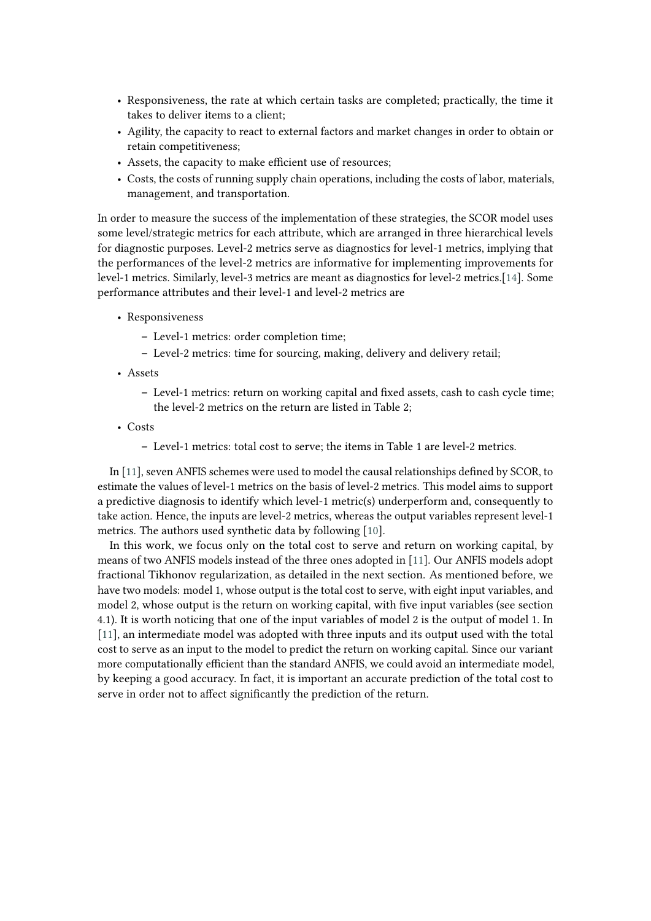- Responsiveness, the rate at which certain tasks are completed; practically, the time it takes to deliver items to a client;
- Agility, the capacity to react to external factors and market changes in order to obtain or retain competitiveness;
- Assets, the capacity to make efficient use of resources;
- Costs, the costs of running supply chain operations, including the costs of labor, materials, management, and transportation.

In order to measure the success of the implementation of these strategies, the SCOR model uses some level/strategic metrics for each attribute, which are arranged in three hierarchical levels for diagnostic purposes. Level-2 metrics serve as diagnostics for level-1 metrics, implying that the performances of the level-2 metrics are informative for implementing improvements for level-1 metrics. Similarly, level-3 metrics are meant as diagnostics for level-2 metrics.[\[14\]](#page-8-5). Some performance attributes and their level-1 and level-2 metrics are

- Responsiveness
	- **–** Level-1 metrics: order completion time;
	- **–** Level-2 metrics: time for sourcing, making, delivery and delivery retail;
- Assets
	- **–** Level-1 metrics: return on working capital and fixed assets, cash to cash cycle time; the level-2 metrics on the return are listed in Table 2;
- Costs
	- **–** Level-1 metrics: total cost to serve; the items in Table 1 are level-2 metrics.

In [\[11\]](#page-8-2), seven ANFIS schemes were used to model the causal relationships defined by SCOR, to estimate the values of level-1 metrics on the basis of level-2 metrics. This model aims to support a predictive diagnosis to identify which level-1 metric(s) underperform and, consequently to take action. Hence, the inputs are level-2 metrics, whereas the output variables represent level-1 metrics. The authors used synthetic data by following [\[10\]](#page-8-1).

In this work, we focus only on the total cost to serve and return on working capital, by means of two ANFIS models instead of the three ones adopted in [\[11\]](#page-8-2). Our ANFIS models adopt fractional Tikhonov regularization, as detailed in the next section. As mentioned before, we have two models: model 1, whose output is the total cost to serve, with eight input variables, and model 2, whose output is the return on working capital, with five input variables (see section 4.1). It is worth noticing that one of the input variables of model 2 is the output of model 1. In [\[11\]](#page-8-2), an intermediate model was adopted with three inputs and its output used with the total cost to serve as an input to the model to predict the return on working capital. Since our variant more computationally efficient than the standard ANFIS, we could avoid an intermediate model, by keeping a good accuracy. In fact, it is important an accurate prediction of the total cost to serve in order not to affect significantly the prediction of the return.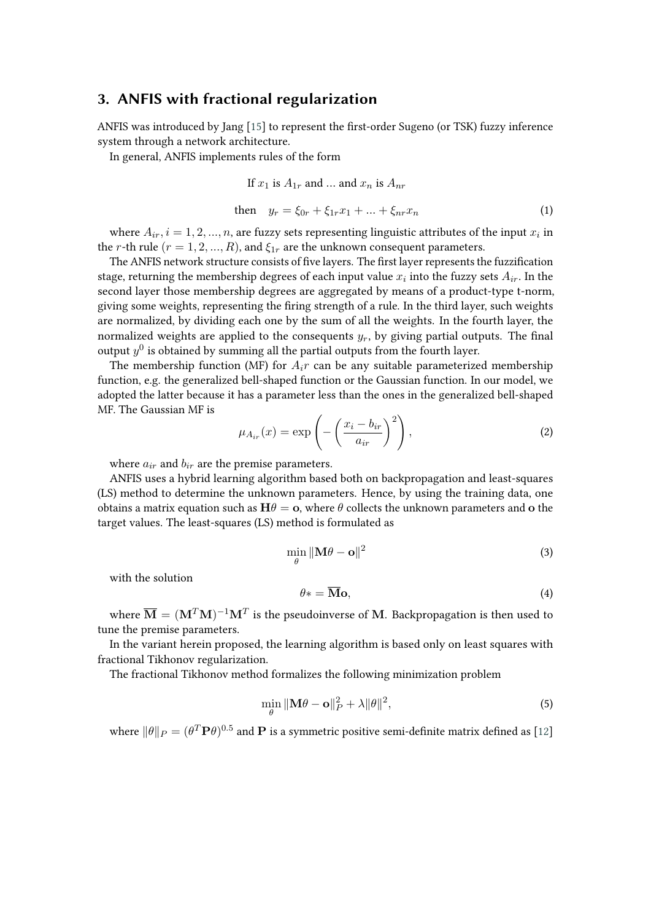### **3. ANFIS with fractional regularization**

ANFIS was introduced by Jang [\[15\]](#page-8-7) to represent the first-order Sugeno (or TSK) fuzzy inference system through a network architecture.

In general, ANFIS implements rules of the form

If 
$$
x_1
$$
 is  $A_{1r}$  and ... and  $x_n$  is  $A_{nr}$   
then  $y_r = \xi_{0r} + \xi_{1r}x_1 + ... + \xi_{nr}x_n$  (1)

where  $A_{ir}$ ,  $i = 1, 2, ..., n$ , are fuzzy sets representing linguistic attributes of the input  $x_i$  in the *r*-th rule ( $r = 1, 2, ..., R$ ), and  $\xi_{1r}$  are the unknown consequent parameters.

The ANFIS network structure consists of five layers. The first layer represents the fuzzification stage, returning the membership degrees of each input value  $x_i$  into the fuzzy sets  $A_{ir}$ . In the second layer those membership degrees are aggregated by means of a product-type t-norm, giving some weights, representing the firing strength of a rule. In the third layer, such weights are normalized, by dividing each one by the sum of all the weights. In the fourth layer, the normalized weights are applied to the consequents  $y_r$ , by giving partial outputs. The final output  $y^0$  is obtained by summing all the partial outputs from the fourth layer.

The membership function (MF) for  $A_i r$  can be any suitable parameterized membership function, e.g. the generalized bell-shaped function or the Gaussian function. In our model, we adopted the latter because it has a parameter less than the ones in the generalized bell-shaped MF. The Gaussian MF is

$$
\mu_{A_{ir}}(x) = \exp\left(-\left(\frac{x_i - b_{ir}}{a_{ir}}\right)^2\right),\tag{2}
$$

where  $a_{ir}$  and  $b_{ir}$  are the premise parameters.

ANFIS uses a hybrid learning algorithm based both on backpropagation and least-squares (LS) method to determine the unknown parameters. Hence, by using the training data, one obtains a matrix equation such as  $H\theta = o$ , where  $\theta$  collects the unknown parameters and o the target values. The least-squares (LS) method is formulated as

$$
\min_{\theta} \| \mathbf{M}\theta - \mathbf{o} \|^2 \tag{3}
$$

with the solution

$$
\theta* = \overline{\mathbf{M}} \mathbf{o},\tag{4}
$$

where  $\overline{\mathbf{M}} = (\mathbf{M}^T \mathbf{M})^{-1} \mathbf{M}^T$  is the pseudoinverse of  $\mathbf{M}$ . Backpropagation is then used to tune the premise parameters.

In the variant herein proposed, the learning algorithm is based only on least squares with fractional Tikhonov regularization.

The fractional Tikhonov method formalizes the following minimization problem

$$
\min_{\theta} \|\mathbf{M}\theta - \mathbf{o}\|_{P}^{2} + \lambda \|\theta\|^{2},\tag{5}
$$

where  $\|\theta\|_P=(\theta^T\mathbf{P}\theta)^{0.5}$  and  $\mathbf P$  is a symmetric positive semi-definite matrix defined as [\[12\]](#page-8-3)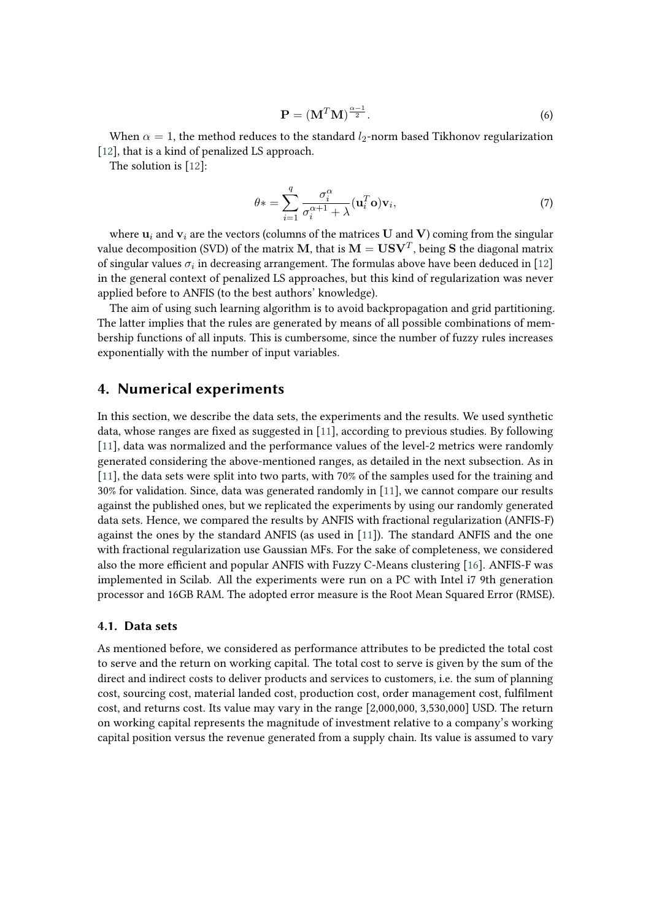$$
\mathbf{P} = (\mathbf{M}^T \mathbf{M})^{\frac{\alpha - 1}{2}}.
$$
 (6)

When  $\alpha = 1$ , the method reduces to the standard  $l_2$ -norm based Tikhonov regularization [\[12\]](#page-8-3), that is a kind of penalized LS approach.

The solution is [\[12\]](#page-8-3):

$$
\theta* = \sum_{i=1}^{q} \frac{\sigma_i^{\alpha}}{\sigma_i^{\alpha+1} + \lambda} (\mathbf{u}_i^T \mathbf{o}) \mathbf{v}_i, \tag{7}
$$

where  $\mathbf{u}_i$  and  $\mathbf{v}_i$  are the vectors (columns of the matrices U and V) coming from the singular value decomposition (SVD) of the matrix  $\mathbf{M},$  that is  $\mathbf{M} = \mathbf{U}\mathbf{S}\mathbf{V}^T$ , being  $\mathbf S$  the diagonal matrix of singular values  $\sigma_i$  in decreasing arrangement. The formulas above have been deduced in [\[12\]](#page-8-3) in the general context of penalized LS approaches, but this kind of regularization was never applied before to ANFIS (to the best authors' knowledge).

The aim of using such learning algorithm is to avoid backpropagation and grid partitioning. The latter implies that the rules are generated by means of all possible combinations of membership functions of all inputs. This is cumbersome, since the number of fuzzy rules increases exponentially with the number of input variables.

### **4. Numerical experiments**

In this section, we describe the data sets, the experiments and the results. We used synthetic data, whose ranges are fixed as suggested in [\[11\]](#page-8-2), according to previous studies. By following [\[11\]](#page-8-2), data was normalized and the performance values of the level-2 metrics were randomly generated considering the above-mentioned ranges, as detailed in the next subsection. As in [\[11\]](#page-8-2), the data sets were split into two parts, with 70% of the samples used for the training and 30% for validation. Since, data was generated randomly in [\[11\]](#page-8-2), we cannot compare our results against the published ones, but we replicated the experiments by using our randomly generated data sets. Hence, we compared the results by ANFIS with fractional regularization (ANFIS-F) against the ones by the standard ANFIS (as used in [\[11\]](#page-8-2)). The standard ANFIS and the one with fractional regularization use Gaussian MFs. For the sake of completeness, we considered also the more efficient and popular ANFIS with Fuzzy C-Means clustering [\[16\]](#page-8-8). ANFIS-F was implemented in Scilab. All the experiments were run on a PC with Intel i7 9th generation processor and 16GB RAM. The adopted error measure is the Root Mean Squared Error (RMSE).

#### **4.1. Data sets**

As mentioned before, we considered as performance attributes to be predicted the total cost to serve and the return on working capital. The total cost to serve is given by the sum of the direct and indirect costs to deliver products and services to customers, i.e. the sum of planning cost, sourcing cost, material landed cost, production cost, order management cost, fulfilment cost, and returns cost. Its value may vary in the range [2,000,000, 3,530,000] USD. The return on working capital represents the magnitude of investment relative to a company's working capital position versus the revenue generated from a supply chain. Its value is assumed to vary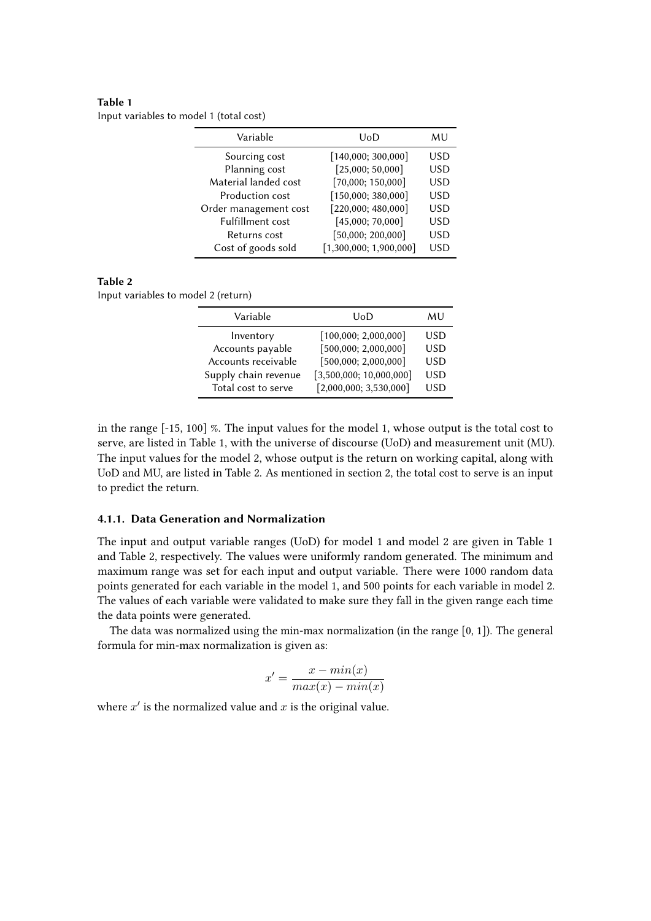#### **Table 1** Input variables to model 1 (total cost)

| Variable                | UoD                    | MU         |
|-------------------------|------------------------|------------|
| Sourcing cost           | [140,000; 300,000]     | USD        |
| Planning cost           | [25,000; 50,000]       | <b>USD</b> |
| Material landed cost    | [70,000; 150,000]      | USD        |
| <b>Production cost</b>  | [150,000; 380,000]     | USD        |
| Order management cost   | [220,000; 480,000]     | <b>USD</b> |
| <b>Fulfillment cost</b> | [45,000; 70,000]       | <b>USD</b> |
| Returns cost            | [50,000; 200,000]      | <b>USD</b> |
| Cost of goods sold      | [1,300,000; 1,900,000] | <b>USD</b> |

### **Table 2**

Input variables to model 2 (return)

| Variable             | UoD                     | MU  |
|----------------------|-------------------------|-----|
| Inventory            | [100,000; 2,000,000]    | USD |
| Accounts payable     | [500,000; 2,000,000]    | USD |
| Accounts receivable  | [500,000; 2,000,000]    | USD |
| Supply chain revenue | [3,500,000; 10,000,000] | USD |
| Total cost to serve  | [2,000,000; 3,530,000]  | USD |

in the range [-15, 100] %. The input values for the model 1, whose output is the total cost to serve, are listed in Table 1, with the universe of discourse (UoD) and measurement unit (MU). The input values for the model 2, whose output is the return on working capital, along with UoD and MU, are listed in Table 2. As mentioned in section 2, the total cost to serve is an input to predict the return.

#### **4.1.1. Data Generation and Normalization**

The input and output variable ranges (UoD) for model 1 and model 2 are given in Table 1 and Table 2, respectively. The values were uniformly random generated. The minimum and maximum range was set for each input and output variable. There were 1000 random data points generated for each variable in the model 1, and 500 points for each variable in model 2. The values of each variable were validated to make sure they fall in the given range each time the data points were generated.

The data was normalized using the min-max normalization (in the range [0, 1]). The general formula for min-max normalization is given as:

$$
x' = \frac{x - min(x)}{max(x) - min(x)}
$$

where  $x'$  is the normalized value and  $x$  is the original value.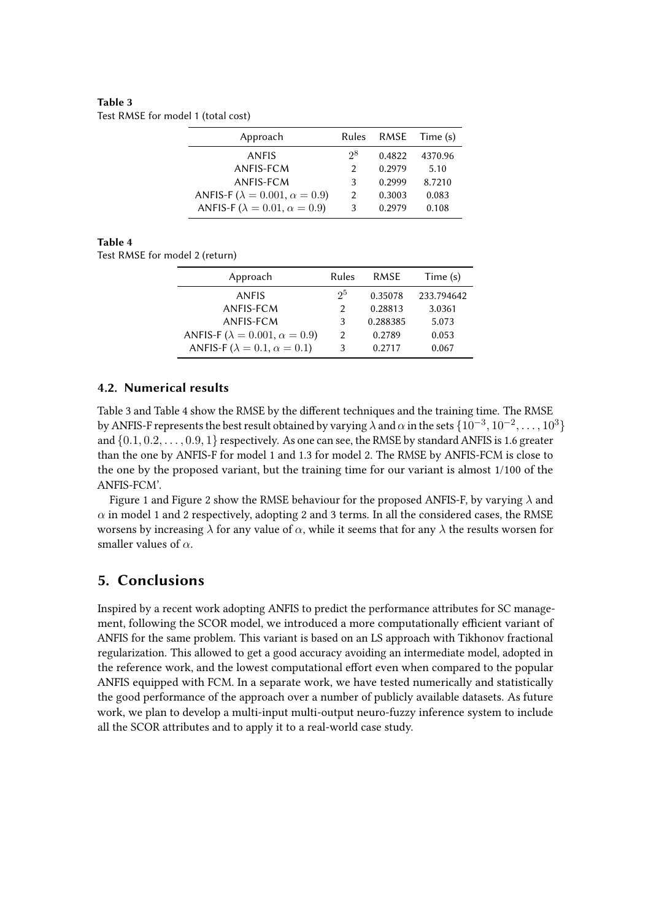#### **Table 3** Test RMSE for model 1 (total cost)

| Approach                                       | Rules         | RMSE   | Time (s) |
|------------------------------------------------|---------------|--------|----------|
| ANFIS                                          | $2^8$         | 0.4822 | 4370.96  |
| ANFIS-FCM                                      | $\mathcal{P}$ | 0.2979 | 5.10     |
| ANFIS-FCM                                      | 3             | 0.2999 | 8.7210   |
| ANFIS-F ( $\lambda = 0.001$ , $\alpha = 0.9$ ) | $\mathcal{L}$ | 0.3003 | 0.083    |
| ANFIS-F ( $\lambda = 0.01$ , $\alpha = 0.9$ )  | 3             | 0.2979 | 0.108    |

#### **Table 4**

Test RMSE for model 2 (return)

| Approach                                       | Rules          | RMSE     | Time (s)   |
|------------------------------------------------|----------------|----------|------------|
| ANFIS                                          | 2 <sup>5</sup> | 0.35078  | 233.794642 |
| ANFIS-FCM                                      | $\mathcal{P}$  | 0.28813  | 3.0361     |
| ANFIS-FCM                                      | 3              | 0.288385 | 5.073      |
| ANFIS-F ( $\lambda = 0.001$ , $\alpha = 0.9$ ) | $\mathcal{P}$  | 0.2789   | 0.053      |
| ANFIS-F ( $\lambda = 0.1$ , $\alpha = 0.1$ )   | 3              | 0.2717   | 0.067      |

### **4.2. Numerical results**

Table 3 and Table 4 show the RMSE by the different techniques and the training time. The RMSE by ANFIS-F represents the best result obtained by varying  $\lambda$  and  $\alpha$  in the sets  $\{10^{-3}, 10^{-2}, \ldots, 10^{3}\}$ and  $\{0.1, 0.2, \ldots, 0.9, 1\}$  respectively. As one can see, the RMSE by standard ANFIS is 1.6 greater than the one by ANFIS-F for model 1 and 1.3 for model 2. The RMSE by ANFIS-FCM is close to the one by the proposed variant, but the training time for our variant is almost 1/100 of the ANFIS-FCM'.

Figure 1 and Figure 2 show the RMSE behaviour for the proposed ANFIS-F, by varying  $\lambda$  and  $\alpha$  in model 1 and 2 respectively, adopting 2 and 3 terms. In all the considered cases, the RMSE worsens by increasing  $\lambda$  for any value of  $\alpha$ , while it seems that for any  $\lambda$  the results worsen for smaller values of  $\alpha$ .

# **5. Conclusions**

Inspired by a recent work adopting ANFIS to predict the performance attributes for SC management, following the SCOR model, we introduced a more computationally efficient variant of ANFIS for the same problem. This variant is based on an LS approach with Tikhonov fractional regularization. This allowed to get a good accuracy avoiding an intermediate model, adopted in the reference work, and the lowest computational effort even when compared to the popular ANFIS equipped with FCM. In a separate work, we have tested numerically and statistically the good performance of the approach over a number of publicly available datasets. As future work, we plan to develop a multi-input multi-output neuro-fuzzy inference system to include all the SCOR attributes and to apply it to a real-world case study.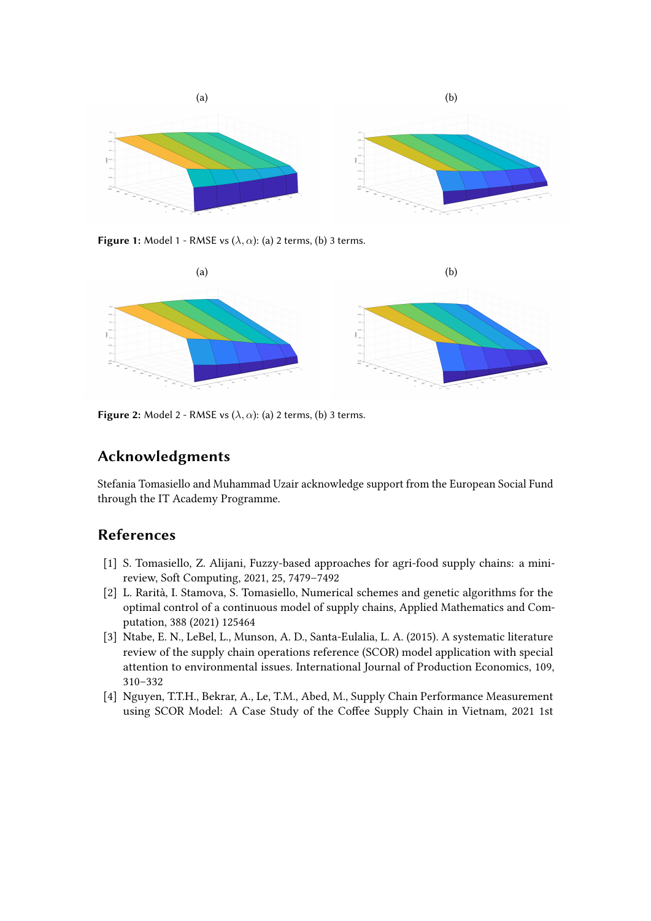

**Figure 1:** Model 1 - RMSE vs  $(\lambda, \alpha)$ : (a) 2 terms, (b) 3 terms.



**Figure 2:** Model 2 - RMSE vs  $(\lambda, \alpha)$ : (a) 2 terms, (b) 3 terms.

# **Acknowledgments**

Stefania Tomasiello and Muhammad Uzair acknowledge support from the European Social Fund through the IT Academy Programme.

# **References**

- [1] S. Tomasiello, Z. Alijani, Fuzzy-based approaches for agri-food supply chains: a minireview, Soft Computing, 2021, 25, 7479–7492
- [2] L. Rarità, I. Stamova, S. Tomasiello, Numerical schemes and genetic algorithms for the optimal control of a continuous model of supply chains, Applied Mathematics and Computation, 388 (2021) 125464
- [3] Ntabe, E. N., LeBel, L., Munson, A. D., Santa-Eulalia, L. A. (2015). A systematic literature review of the supply chain operations reference (SCOR) model application with special attention to environmental issues. International Journal of Production Economics, 109, 310–332
- [4] Nguyen, T.T.H., Bekrar, A., Le, T.M., Abed, M., Supply Chain Performance Measurement using SCOR Model: A Case Study of the Coffee Supply Chain in Vietnam, 2021 1st